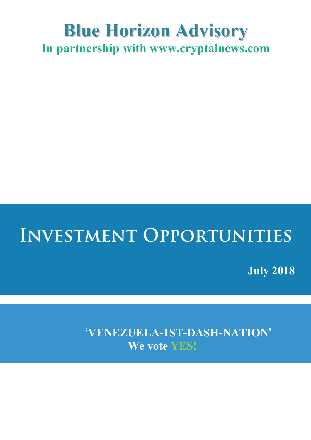## **Blue Horizon Advisory In partnership with www.cryptalnews.com**

## **INVESTMENT OPPORTUNITIES**

**July 2018**

**'VENEZUELA-1ST-DASH-NATION' We vote YES!**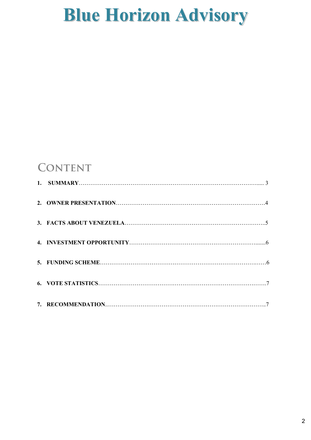### **CONTENT**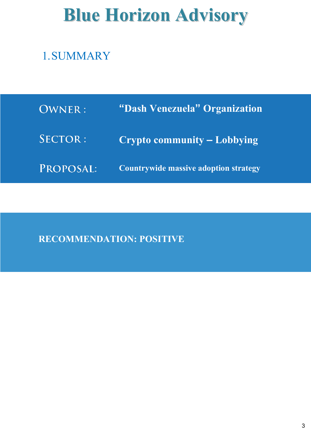### 1.SUMMARY

| <b>OWNER:</b>  | "Dash Venezuela" Organization                |
|----------------|----------------------------------------------|
| <b>SECTOR:</b> | Crypto community – Lobbying                  |
| PROPOSAL:      | <b>Countrywide massive adoption strategy</b> |

**RECOMMENDATION: POSITIVE**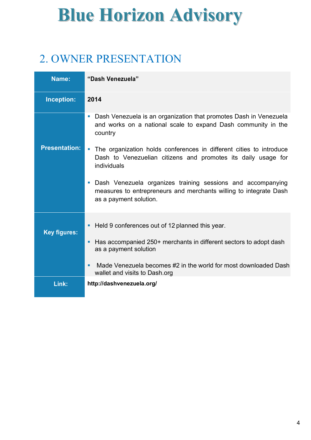### 2. OWNER PRESENTATION

| Name:                | "Dash Venezuela"                                                                                                                                                                                                                                       |  |
|----------------------|--------------------------------------------------------------------------------------------------------------------------------------------------------------------------------------------------------------------------------------------------------|--|
| Inception:           | 2014                                                                                                                                                                                                                                                   |  |
|                      | Dash Venezuela is an organization that promotes Dash in Venezuela<br>and works on a national scale to expand Dash community in the<br>country                                                                                                          |  |
| <b>Presentation:</b> | The organization holds conferences in different cities to introduce<br>Dash to Venezuelian citizens and promotes its daily usage for<br>individuals                                                                                                    |  |
|                      | Dash Venezuela organizes training sessions and accompanying<br>$\overline{\phantom{a}}$<br>measures to entrepreneurs and merchants willing to integrate Dash<br>as a payment solution.                                                                 |  |
| <b>Key figures:</b>  | Held 9 conferences out of 12 planned this year.<br>Has accompanied 250+ merchants in different sectors to adopt dash<br>as a payment solution<br>Made Venezuela becomes #2 in the world for most downloaded Dash<br>п<br>wallet and visits to Dash.org |  |
| Link:                | http://dashvenezuela.org/                                                                                                                                                                                                                              |  |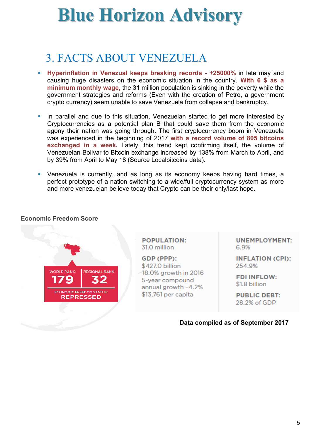### 3. FACTS ABOUT VENEZUELA

- § **Hyperinflation in Venezual keeps breaking records - +25000%** in late may and causing huge disasters on the economic situation in the country. **With 6 \$ as a minimum monthly wage,** the 31 million population is sinking in the poverty while the government strategies and reforms (Even with the creation of Petro, a government crypto currency) seem unable to save Venezuela from collapse and bankruptcy.
- In parallel and due to this situation, Venezuelan started to get more interested by Cryptocurrencies as a potential plan B that could save them from the economic agony their nation was going through. The first cryptocurrency boom in Venezuela was experienced in the beginning of 2017 **with a record volume of 805 bitcoins exchanged in a week.** Lately, this trend kept confirming itself, the volume of Venezuelan Bolivar to Bitcoin exchange increased by 138% from March to April, and by 39% from April to May 18 (Source Localbitcoins data).
- Venezuela is currently, and as long as its economy keeps having hard times, a perfect prototype of a nation switching to a wide/full cryptocurrency system as more and more venezuelan believe today that Crypto can be their only/last hope.

#### **Economic Freedom Score**



**POPULATION:** 31.0 million

GDP (PPP): \$427.0 billion -18.0% growth in 2016 5-year compound annual growth -4.2% \$13,761 per capita

**UNEMPLOYMENT:** 6.9%

**INFLATION (CPI):** 254.9%

**FDI INFLOW:** \$1.8 billion

**PUBLIC DEBT:** 28.2% of GDP

**Data compiled as of September 2017**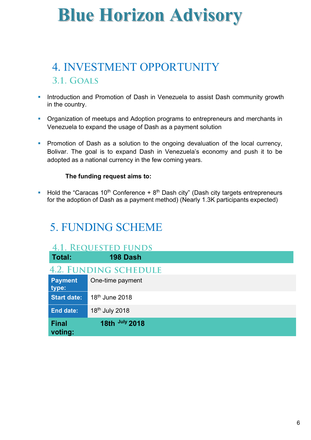### 4. INVESTMENT OPPORTUNITY  $3.1. GOALS$

- **Introduction and Promotion of Dash in Venezuela to assist Dash community growth** in the country.
- **Organization of meetups and Adoption programs to entrepreneurs and merchants in** Venezuela to expand the usage of Dash as a payment solution
- **Promotion of Dash as a solution to the ongoing devaluation of the local currency,** Bolivar. The goal is to expand Dash in Venezuela's economy and push it to be adopted as a national currency in the few coming years.

#### **The funding request aims to:**

**• Hold the "Caracas 10<sup>th</sup> Conference + 8<sup>th</sup> Dash city" (Dash city targets entrepreneurs** for the adoption of Dash as a payment method) (Nearly 1.3K participants expected)

### 5. FUNDING SCHEME

| <b>4.1. REQUESTED FUNDS</b>  |                            |  |  |  |  |
|------------------------------|----------------------------|--|--|--|--|
| Total:                       | 198 Dash                   |  |  |  |  |
| <b>4.2. FUNDING SCHEDULE</b> |                            |  |  |  |  |
| <b>Payment</b><br>type:      | One-time payment           |  |  |  |  |
| <b>Start date:</b>           | 18 <sup>th</sup> June 2018 |  |  |  |  |
| <b>End date:</b>             | 18th July 2018             |  |  |  |  |
| <b>Final</b><br>voting:      | 18th July 2018             |  |  |  |  |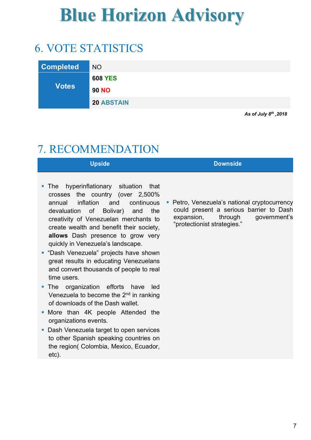### 6. VOTE STATISTICS

| <b>Completed</b> | <b>NO</b>         |
|------------------|-------------------|
|                  | <b>608 YES</b>    |
| <b>Votes</b>     | <b>90 NO</b>      |
|                  | <b>20 ABSTAIN</b> |

*As of July 8th ,2018*

### 7. RECOMMENDATION

| Upside | <b>Downside</b> |
|--------|-----------------|
|        |                 |

- The hyperinflationary situation that crosses the country (over 2,500% annual inflation and continuous devaluation of Bolivar) and the creativity of Venezuelan merchants to create wealth and benefit their society, **allows** Dash presence to grow very quickly in Venezuela's landscape.
- § "Dash Venezuela" projects have shown great results in educating Venezuelans and convert thousands of people to real time users.
- The organization efforts have led Venezuela to become the 2<sup>nd</sup> in ranking of downloads of the Dash wallet.
- More than 4K people Attended the organizations events.
- Dash Venezuela target to open services to other Spanish speaking countries on the region( Colombia, Mexico, Ecuador, etc).

■ Petro, Venezuela's national cryptocurrency could present a serious barrier to Dash expansion, through government's "protectionist strategies."